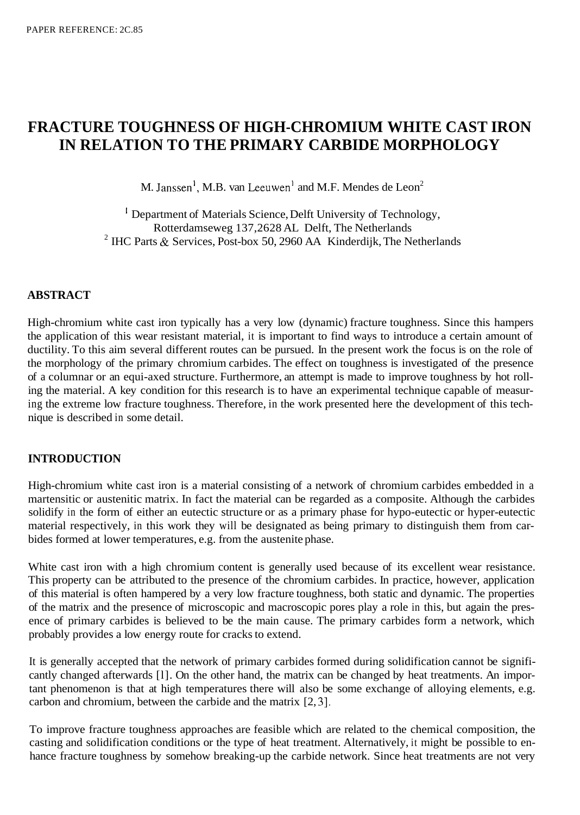# **FRACTURE TOUGHNESS OF HIGH-CHROMIUM WHITE CAST IRON IN RELATION TO THE PRIMARY CARBIDE MORPHOLOGY**

M. Janssen<sup>1</sup>, M.B. van Leeuwen<sup>1</sup> and M.F. Mendes de Leon<sup>2</sup>

' Department of Materials Science, Delft University of Technology, Rotterdamseweg 137,2628 AL Delft, The Netherlands <sup>2</sup> IHC Parts  $\&$  Services, Post-box 50, 2960 AA Kinderdijk, The Netherlands

# **ABSTRACT**

High-chromium white cast iron typically has a very low (dynamic) fracture toughness. Since this hampers the application of this wear resistant material, it is important to find ways to introduce a certain amount of ductility. To this aim several different routes can be pursued. In the present work the focus is on the role of the morphology of the primary chromium carbides. The effect on toughness is investigated of the presence of a columnar or an equi-axed structure. Furthermore, an attempt is made to improve toughness by hot rolling the material. A key condition for this research is to have an experimental technique capable of measuring the extreme low fracture toughness. Therefore, in the work presented here the development of this technique is described in some detail.

#### **INTRODUCTION**

High-chromium white cast iron is a material consisting of a network of chromium carbides embedded in a martensitic or austenitic matrix. In fact the material can be regarded as a composite. Although the carbides solidify in the form of either an eutectic structure or as a primary phase for hypo-eutectic or hyper-eutectic material respectively, in this work they will be designated as being primary to distinguish them from carbides formed at lower temperatures, e.g. from the austenite phase.

White cast iron with a high chromium content is generally used because of its excellent wear resistance. This property can be attributed to the presence of the chromium carbides. In practice, however, application of this material is often hampered by a very low fracture toughness, both static and dynamic. The properties of the matrix and the presence of microscopic and macroscopic pores play a role in this, but again the presence of primary carbides is believed to be the main cause. The primary carbides form a network, which probably provides a low energy route for cracks to extend.

It is generally accepted that the network of primary carbides formed during solidification cannot be significantly changed afterwards [1]. On the other hand, the matrix can be changed by heat treatments. An important phenomenon is that at high temperatures there will also be some exchange of alloying elements, e.g. carbon and chromium, between the carbide and the matrix [2, 31.

To improve fracture toughness approaches are feasible which are related to the chemical composition, the casting and solidification conditions or the type of heat treatment. Alternatively, it might be possible to enhance fracture toughness by somehow breaking-up the carbide network. Since heat treatments are not very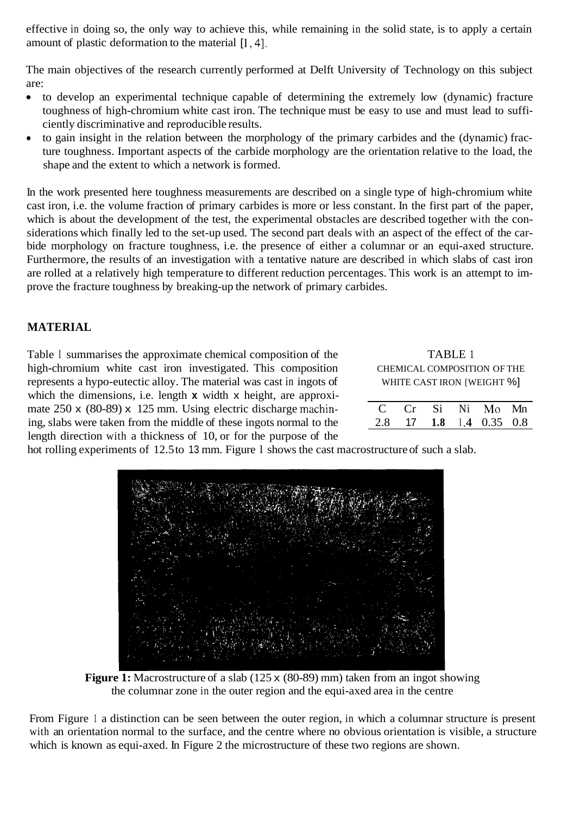effective in doing so, the only way to achieve this, while remaining in the solid state, is to apply a certain amount of plastic deformation to the material  $[1, 4]$ .

The main objectives of the research currently performed at Delft University of Technology on this subject are:

- to develop an experimental technique capable of determining the extremely low (dynamic) fracture  $\bullet$ toughness of high-chromium white cast iron. The technique must be easy to use and must lead to sufficiently discriminative and reproducible results.
- to gain insight in the relation between the morphology of the primary carbides and the (dynamic) fracture toughness. Important aspects of the carbide morphology are the orientation relative to the load, the shape and the extent to which a network is formed.

In the work presented here toughness measurements are described on a single type of high-chromium white cast iron, i.e. the volume fraction of primary carbides is more or less constant. In the first part of the paper, which is about the development of the test, the experimental obstacles are described together with the considerations which finally led to the set-up used. The second part deals with an aspect of the effect of the carbide morphology on fracture toughness, i.e. the presence of either a columnar or an equi-axed structure. Furthermore, the results of an investigation with a tentative nature are described in which slabs of cast iron are rolled at a relatively high temperature to different reduction percentages. This work is an attempt to improve the fracture toughness by breaking-up the network of primary carbides.

# **MATERIAL**

Table I summarises the approximate chemical composition of the high-chromium white cast iron investigated. This composition represents a hypo-eutectic alloy. The material was cast in ingots of which the dimensions, i.e. length **x** width **x** height, are approximate  $250 \times (80-89) \times 125$  mm. Using electric discharge machining, slabs were taken from the middle of these ingots normal to the length direction with a thickness of 10, or for the purpose of the

| <b>TABLE 1</b>              |
|-----------------------------|
| CHEMICAL COMPOSITION OF THE |
| WHITE CAST IRON [WEIGHT %]  |

|  |  | C Cr Si Ni Mo Mn        |  |
|--|--|-------------------------|--|
|  |  | 2.8 17 1.8 1.4 0.35 0.8 |  |

hot rolling experiments of 12.5 to 13 mm. Figure l shows the cast macrostructure of such a slab.



**Figure 1:** Macrostructure of a slab (125 x (80-89) mm) taken from an ingot showing the columnar zone in the outer region and the equi-axed area in the centre

From Figure 1 a distinction can be seen between the outer region, in which a columnar structure is present with an orientation normal to the surface, and the centre where no obvious orientation is visible, a structure which is known as equi-axed. In Figure 2 the microstructure of these two regions are shown.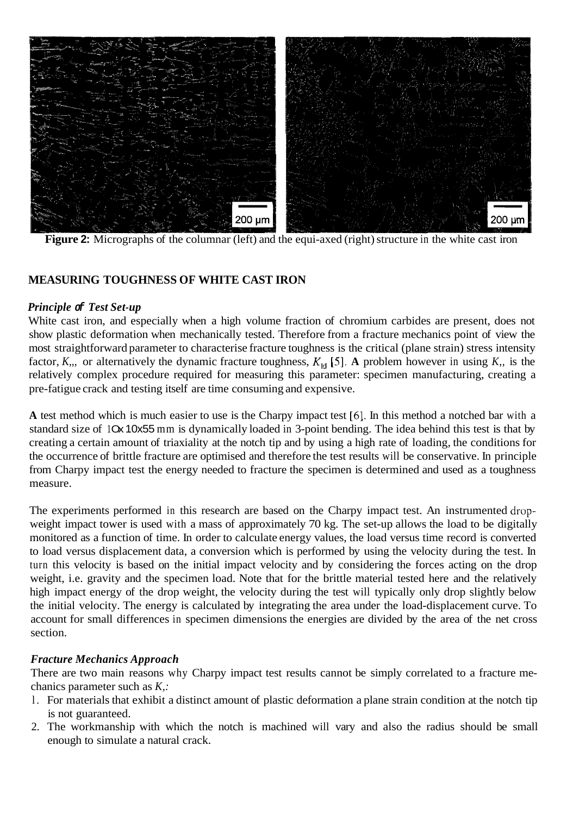

**Figure 2:** Micrographs of the columnar (left) and the equi-axed (right) structure in the white cast iron

# **MEASURING TOUGHNESS OF WHITE CAST IRON**

# *Principle of Test Set-up*

White cast iron, and especially when a high volume fraction of chromium carbides are present, does not show plastic deformation when mechanically tested. Therefore from a fracture mechanics point of view the most straightforward parameter to characterise fracture toughness is the critical (plane strain) stress intensity factor,  $K_{11}$ , or alternatively the dynamic fracture toughness,  $K_{1d}$  [5]. A problem however in using  $K_{11}$ , is the relatively complex procedure required for measuring this parameter: specimen manufacturing, creating a pre-fatigue crack and testing itself are time consuming and expensive.

**A** test method which is much easier to use is the Charpy impact test *[6].* In this method a notched bar with a standard size of 10x 10x55 mm is dynamically loaded in 3-point bending. The idea behind this test is that by creating a certain amount of triaxiality at the notch tip and by using a high rate of loading, the conditions for the occurrence of brittle fracture are optimised and therefore the test results will be conservative. In principle from Charpy impact test the energy needed to fracture the specimen is determined and used as a toughness measure.

The experiments performed in this research are based on the Charpy impact test. An instrumented dropweight impact tower is used with a mass of approximately 70 kg. The set-up allows the load to be digitally monitored as a function of time. In order to calculate energy values, the load versus time record is converted to load versus displacement data, a conversion which is performed by using the velocity during the test. In turn this velocity is based on the initial impact velocity and by considering the forces acting on the drop weight, i.e. gravity and the specimen load. Note that for the brittle material tested here and the relatively high impact energy of the drop weight, the velocity during the test will typically only drop slightly below the initial velocity. The energy is calculated by integrating the area under the load-displacement curve. To account for small differences in specimen dimensions the energies are divided by the area of the net cross section.

# *Fracture Mechanics Approach*

There are two main reasons why Charpy impact test results cannot be simply correlated to a fracture mechanics parameter such as *K,:* 

- l. For materials that exhibit a distinct amount of plastic deformation a plane strain condition at the notch tip is not guaranteed.
- 2. The workmanship with which the notch is machined will vary and also the radius should be small enough to simulate a natural crack.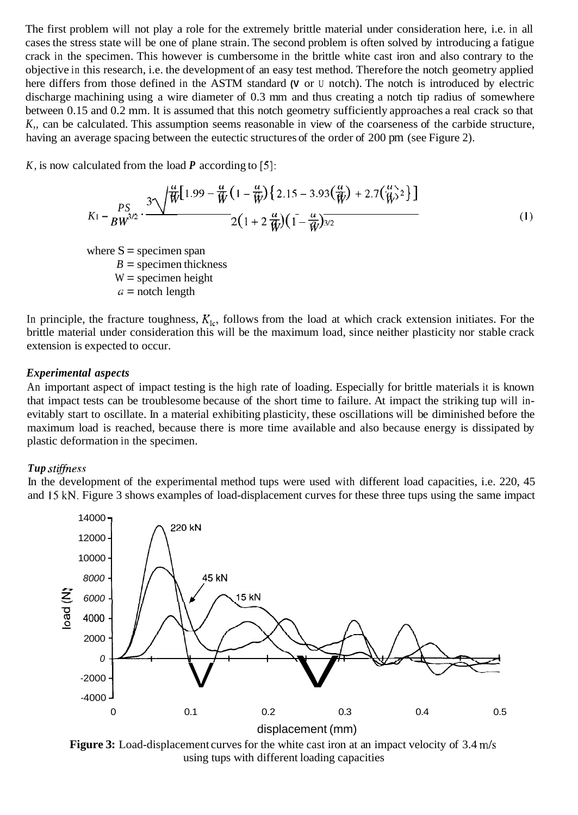The first problem will not play a role for the extremely brittle material under consideration here, i.e. in all cases the stress state will be one of plane strain. The second problem is often solved by introducing a fatigue crack in the specimen. This however is cumbersome in the brittle white cast iron and also contrary to the objective in this research, i.e. the development of an easy test method. Therefore the notch geometry applied here differs from those defined in the ASTM standard **(V** or U notch). The notch is introduced by electric discharge machining using a wire diameter of 0.3 mm and thus creating a notch tip radius of somewhere between 0.15 and 0.2 mm. It is assumed that this notch geometry sufficiently approaches a real crack so that *K,,* can be calculated. This assumption seems reasonable in view of the coarseness of the carbide structure, having an average spacing between the eutectic structures of the order of 200 pm (see Figure 2).

*K,* is now calculated from the load *P* according to *[5]:* 

$$
K_1 - \frac{PS}{BW^{3/2}} \cdot \frac{3\sqrt{\frac{u}{W}\left(1.99 - \frac{u}{W}\left(1 - \frac{u}{W}\right)\left\{2.15 - 3.93\left(\frac{u}{W}\right) + 2.7\left(\frac{u}{W}\right)^2\right\}\right)}}{2\left(1 + 2\frac{u}{W}\right)\left(1 - \frac{u}{W}\right)^{3/2}}
$$
\n(1)

where  $S =$  specimen span  $B =$  specimen thickness  $W =$  specimen height  $a =$  notch length

In principle, the fracture toughness,  $K_{1c}$ , follows from the load at which crack extension initiates. For the brittle material under consideration this will be the maximum load, since neither plasticity nor stable crack extension is expected to occur.

# *Experimental aspects*

An important aspect of impact testing is the high rate of loading. Especially for brittle materials it is known that impact tests can be troublesome because of the short time to failure. At impact the striking tup will inevitably start to oscillate. In a material exhibiting plasticity, these oscillations will be diminished before the maximum load is reached, because there is more time available and also because energy is dissipated by plastic deformation in the specimen.

#### *Tup stiffness*

In the development of the experimental method tups were used with different load capacities, i.e. 220, 45 and 15 kN. Figure 3 shows examples of load-displacement curves for these three tups using the same impact



**Figure 3:** Load-displacement curves for the white cast iron at an impact velocity of 3.4 m/s using tups with different loading capacities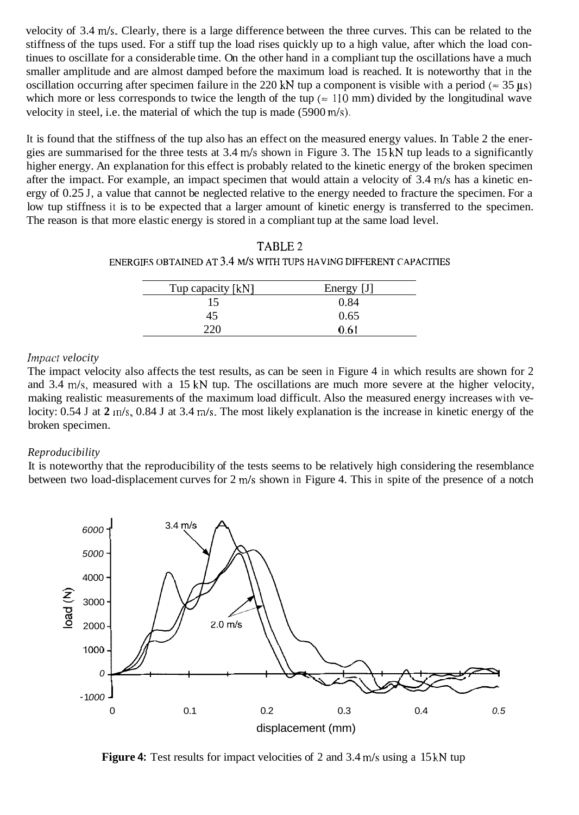velocity of 3.4 m/s. Clearly, there is a large difference between the three curves. This can be related to the stiffness of the tups used. For a stiff tup the load rises quickly up to a high value, after which the load continues to oscillate for a considerable time. On the other hand in a compliant tup the oscillations have a much smaller amplitude and are almost damped before the maximum load is reached. It is noteworthy that in the oscillation occurring after specimen failure in the 220 kN tup a component is visible with a period ( $\approx 35 \,\mu s$ ) which more or less corresponds to twice the length of the tup ( $\approx 110$  mm) divided by the longitudinal wave velocity in steel, i.e. the material of which the tup is made (5900 m/s).

It is found that the stiffness of the tup also has an effect on the measured energy values. In Table 2 the energies are summarised for the three tests at 3.4 m/s shown in Figure 3. The 15 kN tup leads to a significantly higher energy. An explanation for this effect is probably related to the kinetic energy of the broken specimen after the impact. For example, an impact specimen that would attain a velocity of 3.4 m/s has a kinetic energy of 0.25 J, a value that cannot be neglected relative to the energy needed to fracture the specimen. For a low tup stiffness it is to be expected that a larger amount of kinetic energy is transferred to the specimen. The reason is that more elastic energy is stored in a compliant tup at the same load level.

| TABLE 2                                                            |
|--------------------------------------------------------------------|
| ENERGIES OBTAINED AT 3.4 M/S WITH TUPS HAVING DIFFERENT CAPACITIES |

| Tup capacity [kN] | Energy [J] |
|-------------------|------------|
| 15                | 0.84       |
| 45                | 0.65       |
| ንንበ               | 0.61       |

#### *Irnpuct velocity*

The impact velocity also affects the test results, as can be seen in Figure 4 in which results are shown for 2 and 3.4 m/s, measured with a 15 kN tup. The oscillations are much more severe at the higher velocity, making realistic measurements of the maximum load difficult. Also the measured energy increases with velocity: 0.54 J at **2** m/s, 0.84 J at 3.4 m/s. The most likely explanation is the increase in kinetic energy of the broken specimen.

#### *Reproducibility*

It is noteworthy that the reproducibility of the tests seems to be relatively high considering the resemblance between two load-displacement curves for 2 m/s shown in Figure 4. This in spite of the presence of a notch



**Figure 4:** Test results for impact velocities of 2 and 3.4 m/s using a 15 kN tup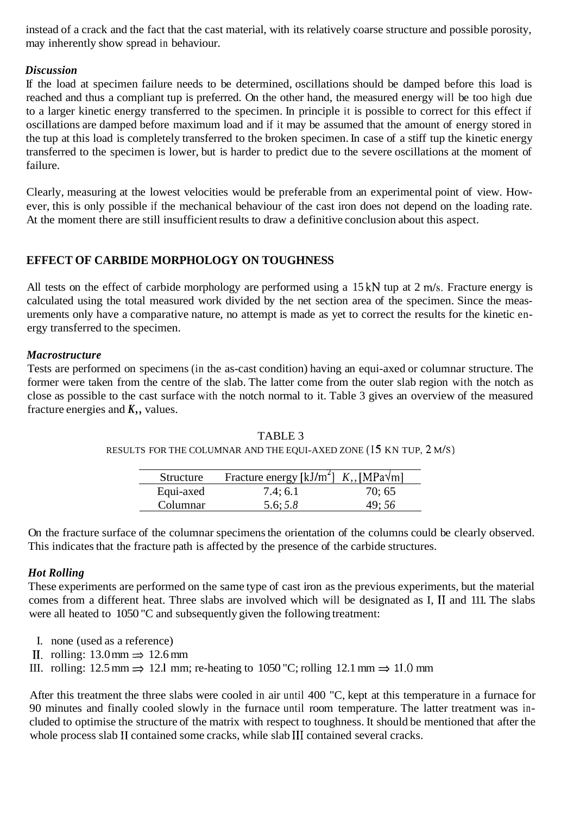<span id="page-5-0"></span>instead of a crack and the fact that the cast material, with its relatively coarse structure and possible porosity, may inherently show spread in behaviour.

# *Discussion*

If the load at specimen failure needs to be determined, oscillations should be damped before this load is reached and thus a compliant tup is preferred. On the other hand, the measured energy will be too high due to a larger kinetic energy transferred to the specimen. In principle it is possible to correct for this effect if oscillations are damped before maximum load and if it may be assumed that the amount of energy stored in the tup at this load is completely transferred to the broken specimen. In case of a stiff tup the kinetic energy transferred to the specimen is lower, but is harder to predict due to the severe oscillations at the moment of failure.

Clearly, measuring at the lowest velocities would be preferable from an experimental point of view. However, this is only possible if the mechanical behaviour of the cast iron does not depend on the loading rate. At the moment there are still insufficient results to draw a definitive conclusion about this aspect.

# **EFFECT OF CARBIDE MORPHOLOGY ON TOUGHNESS**

All tests on the effect of carbide morphology are performed using a 15 kN tup at 2 m/s. Fracture energy is calculated using the total measured work divided by the net section area of the specimen. Since the measurements only have a comparative nature, no attempt is made as yet to correct the results for the kinetic energy transferred to the specimen.

# *Macrostructure*

Tests are performed on specimens (in the as-cast condition) having an equi-axed or columnar structure. The former were taken from the centre of the slab. The latter come from the outer slab region with the notch as close as possible to the cast surface with the notch normal to it. Table 3 gives an overview of the measured fracture energies and *K,,* values.

| Structure | Fracture energy [kJ/m <sup>2</sup> ] $K_{1}$ , [MPa $\sqrt{m}$ ] |       |
|-----------|------------------------------------------------------------------|-------|
| Equi-axed | 7.4; 6.1                                                         | 70:65 |
| Columnar  | 5.6; 5.8                                                         | 49:56 |

TABLE 3 RESULTS FOR THE COLUMNAR AND THE EQUI-AXED ZONE (15 KN TUP, 2 M/S)

On the fracture surface of the columnar specimens the orientation of the columns could be clearly observed. This indicates that the fracture path is affected by the presence of the carbide structures.

# *Hot Rolling*

These experiments are performed on the same type of cast iron as the previous experiments, but the material comes from a different heat. Three slabs are involved which will be designated as I, I1 and 111. The slabs were all heated to 1050 "C and subsequently given the following treatment:

- I. none (used as a reference)
- II. rolling:  $13.0 \text{ mm} \Rightarrow 12.6 \text{ mm}$
- III. rolling:  $12.5 \text{ mm} \Rightarrow 12.1 \text{ mm}$ ; re-heating to  $1050 \text{ °C}$ ; rolling  $12.1 \text{ mm} \Rightarrow 11.0 \text{ mm}$

After this treatment the three slabs were cooled in air until 400 "C, kept at this temperature in a furnace for 90 minutes and finally cooled slowly in the furnace until room temperature. The latter treatment was included to optimise the structure of the matrix with respect to toughness. It should be mentioned that after the whole process slab I1 contained some cracks, while slab I11 contained several cracks.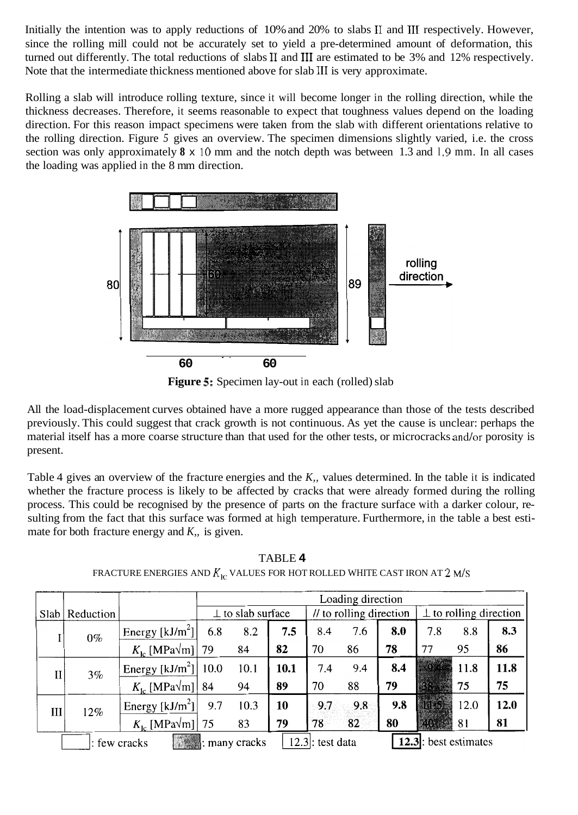Initially the intention was to apply reductions of 10% and 20% to slabs I1 and I11 respectively. However, since the rolling mill could not be accurately set to yield a pre-determined amount of deformation, this turned out differently. The total reductions of slabs I1 and I11 are estimated to be 3% and 12% respectively. Note that the intermediate thickness mentioned above for slab I11 is very approximate.

Rolling a slab will introduce rolling texture, since it will become longer in the rolling direction, while the thickness decreases. Therefore, it seems reasonable to expect that toughness values depend on the loading direction. For this reason impact specimens were taken from the slab with different orientations relative to the rolling direction. Figure *5* gives an overview. The specimen dimensions slightly varied, i.e. the cross section was only approximately  $8 \times 10$  mm and the notch depth was between 1.3 and 1.9 mm. In all cases the loading was applied in the 8 mm direction.



**Figure** *5:* Specimen lay-out in each (rolled) slab

All the load-displacement curves obtained have a more rugged appearance than those of the tests described previously. This could suggest that crack growth is not continuous. As yet the cause is unclear: perhaps the material itself has a more coarse structure than that used for the other tests, or microcracks and/or porosity is present.

Table 4 gives an overview of the fracture energies and the *K,,* values determined. In the table it is indicated whether the fracture process is likely to be affected by cracks that were already formed during the rolling process. This could be recognised by the presence of parts on the fracture surface with a darker colour, resulting from the fact that this surface was formed at high temperature. Furthermore, in the table a best estimate for both fracture energy and *K,,* is given.

|             |           |                                             | Loading direction       |                                                                      |      |                         |     |                              |     |                              |      |
|-------------|-----------|---------------------------------------------|-------------------------|----------------------------------------------------------------------|------|-------------------------|-----|------------------------------|-----|------------------------------|------|
| Slab        | Reduction |                                             | $\perp$ to slab surface |                                                                      |      | // to rolling direction |     | $\perp$ to rolling direction |     |                              |      |
|             | $0\%$     | Energy $[kJ/m^2]$                           | 6.8                     | 8.2                                                                  | 7.5  | 8.4                     | 7.6 | 8.0                          | 7.8 | 8.8                          | 8.3  |
|             |           | $K_{\text{lo}}$ [MPa $\sqrt{\text{m}}$ ] 79 |                         | 84                                                                   | 82   | 70                      | 86  | 78                           | 77  | 95                           | 86   |
| $_{\rm II}$ | 3%        | Energy [kJ/m <sup>2</sup> ]   10.0          |                         | 10.1                                                                 | 10.1 | 7.4                     | 9.4 | 8.4                          |     | 11.8                         | 11.8 |
|             |           | $K_{\text{lc}}$ [MPa $\sqrt{\text{m}}$ ] 84 |                         | 94                                                                   | 89   | 70                      | 88  | 79                           |     | 75                           | 75   |
| Ш           | 12%       | Energy $[kJ/m2]$                            | 9.7                     | 10.3                                                                 | 10   | 9.7                     | 9.8 | 9.8                          |     | 12.0                         | 12.0 |
|             |           | $K_{\text{lc}}$ [MPa $\sqrt{\text{m}}$ ] 75 |                         | 83                                                                   | 79   | 78                      | 82  | 80                           |     | 81                           | 81   |
|             |           | : few cracks                                |                         | $\left \frac{1}{\sqrt{2}}\right $ $\frac{1}{\sqrt{2}}$ : many cracks |      | $12.3$ : test data      |     |                              |     | <b>12.3</b> : best estimates |      |

TABLE **4**  FRACTURE ENERGIES AND  $K_{1c}$  values for hot rolled white cast iron at 2 m/s